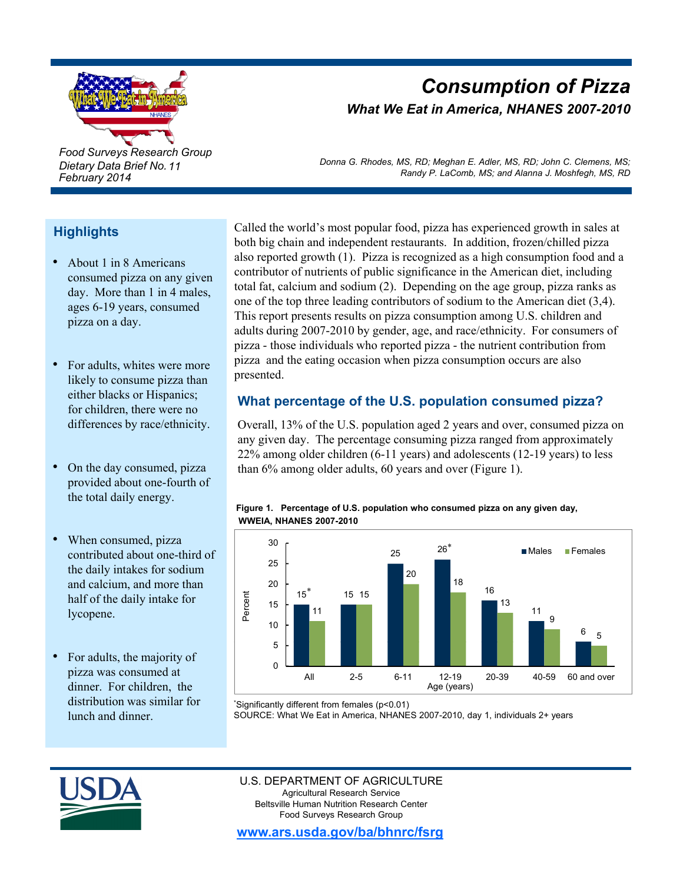

*Food Surveys Research Group Dietary Data Brief No. 11 February 2014*

# *Consumption of Pizza What We Eat in America, NHANES 2007-2010*

*Donna G. Rhodes, MS, RD; Meghan E. Adler, MS, RD; John C. Clemens, MS; Randy P. LaComb, MS; and Alanna J. Moshfegh, MS, RD*

# **Highlights**

- About 1 in 8 Americans consumed pizza on any given day. More than 1 in 4 males, ages 6-19 years, consumed pizza on a day.
- For adults, whites were more likely to consume pizza than either blacks or Hispanics; for children, there were no differences by race/ethnicity.
- On the day consumed, pizza provided about one-fourth of the total daily energy.
- When consumed, pizza 30 contributed about one-third of the daily intakes for sodium and calcium, and more than half of the daily intake for lycopene.
- For adults, the majority of pizza was consumed at dinner. For children, the distribution was similar for lunch and dinner.

Called the world's most popular food, pizza has experienced growth in sales at both big chain and independent restaurants. In addition, frozen/chilled pizza also reported growth (1). Pizza is recognized as a high consumption food and a contributor of nutrients of public significance in the American diet, including total fat, calcium and sodium (2). Depending on the age group, pizza ranks as one of the top three leading contributors of sodium to the American diet (3,4). This report presents results on pizza consumption among U.S. children and adults during 2007-2010 by gender, age, and race/ethnicity. For consumers of pizza - those individuals who reported pizza - the nutrient contribution from pizza and the eating occasion when pizza consumption occurs are also presented.

# **What percentage of the U.S. population consumed pizza?**

Overall, 13% of the U.S. population aged 2 years and over, consumed pizza on any given day. The percentage consuming pizza ranged from approximately 22% among older children (6-11 years) and adolescents (12-19 years) to less than 6% among older adults, 60 years and over (Figure 1).

#### **Figure 1. Percentage of U.S. population who consumed pizza on any given day, WWEIA, NHANES 2007-2010**



\* Significantly different from females (p<0.01)

SOURCE: What We Eat in America, NHANES 2007-2010, day 1, individuals 2+ years



U.S. DEPARTMENT OF AGRICULTURE Agricultural Research Service Beltsville Human Nutrition Research Center Food Surveys Research Group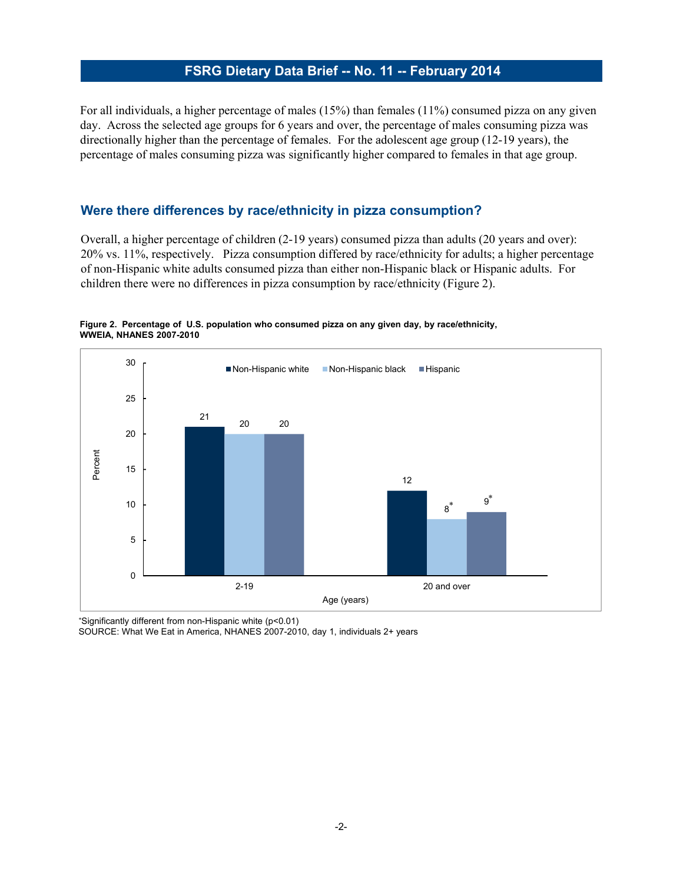For all individuals, a higher percentage of males (15%) than females (11%) consumed pizza on any given day. Across the selected age groups for 6 years and over, the percentage of males consuming pizza was directionally higher than the percentage of females. For the adolescent age group  $(12-19 \text{ years})$ , the percentage of males consuming pizza was significantly higher compared to females in that age group.

#### **Were there differences by race/ethnicity in pizza consumption?**

Overall, a higher percentage of children (2-19 years) consumed pizza than adults (20 years and over): 20% vs. 11%, respectively. Pizza consumption differed by race/ethnicity for adults; a higher percentage of non-Hispanic white adults consumed pizza than either non-Hispanic black or Hispanic adults. For children there were no differences in pizza consumption by race/ethnicity (Figure 2).





\*Significantly different from non-Hispanic white (p<0.01)

SOURCE: What We Eat in America, NHANES 2007-2010, day 1, individuals 2+ years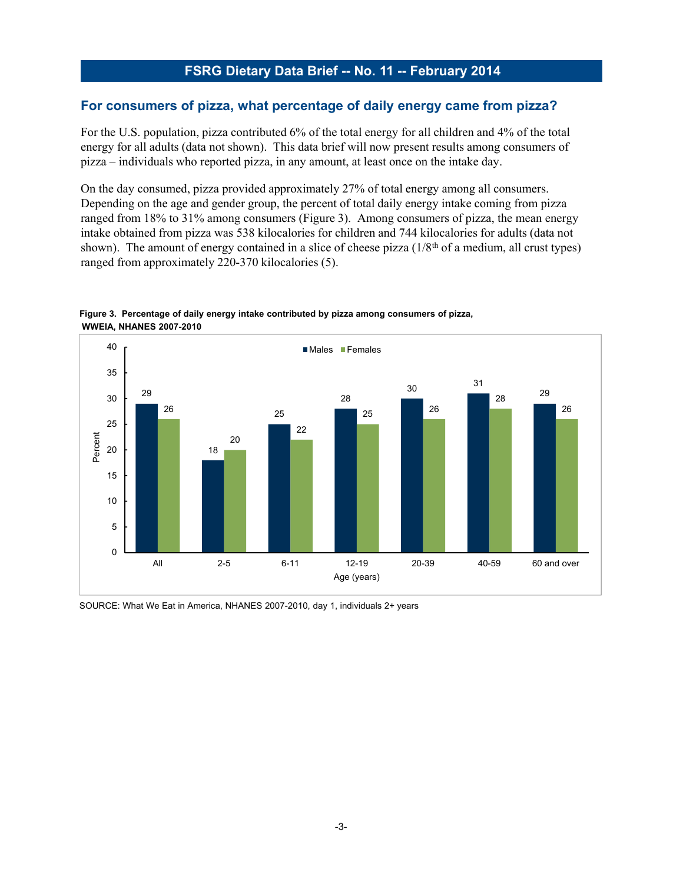### **For consumers of pizza, what percentage of daily energy came from pizza?**

For the U.S. population, pizza contributed 6% of the total energy for all children and 4% of the total energy for all adults (data not shown). This data brief will now present results among consumers of pizza – individuals who reported pizza, in any amount, at least once on the intake day.

On the day consumed, pizza provided approximately 27% of total energy among all consumers. Depending on the age and gender group, the percent of total daily energy intake coming from pizza ranged from 18% to 31% among consumers (Figure 3). Among consumers of pizza, the mean energy intake obtained from pizza was 538 kilocalories for children and 744 kilocalories for adults (data not shown). The amount of energy contained in a slice of cheese pizza  $(1/8<sup>th</sup>$  of a medium, all crust types) ranged from approximately 220-370 kilocalories (5).





SOURCE: What We Eat in America, NHANES 2007-2010, day 1, individuals 2+ years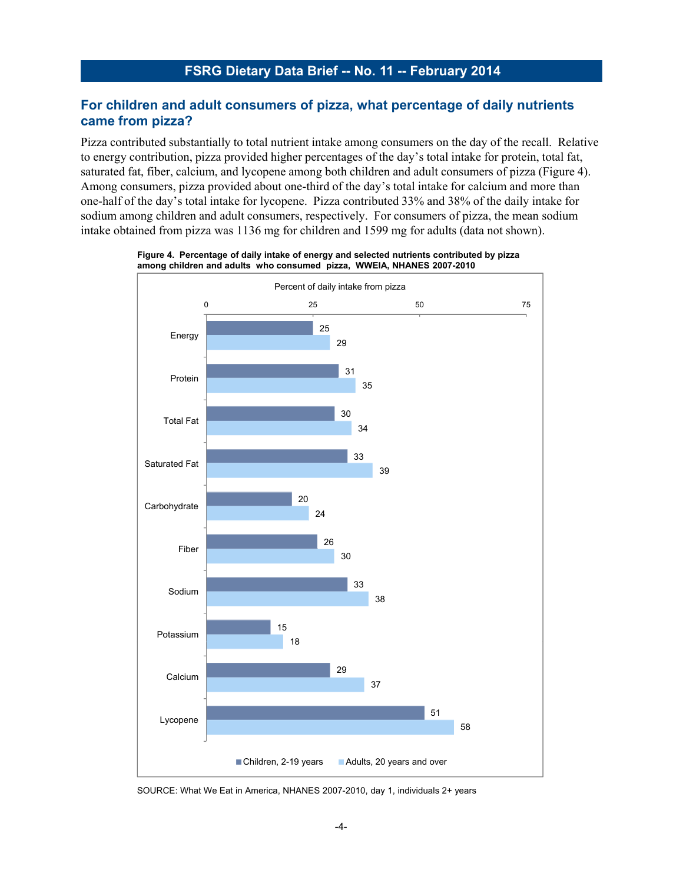## **For children and adult consumers of pizza, what percentage of daily nutrients came from pizza?**

Pizza contributed substantially to total nutrient intake among consumers on the day of the recall. Relative to energy contribution, pizza provided higher percentages of the day's total intake for protein, total fat, saturated fat, fiber, calcium, and lycopene among both children and adult consumers of pizza (Figure 4). Among consumers, pizza provided about one-third of the day's total intake for calcium and more than one-half of the day's total intake for lycopene. Pizza contributed 33% and 38% of the daily intake for sodium among children and adult consumers, respectively. For consumers of pizza, the mean sodium intake obtained from pizza was 1136 mg for children and 1599 mg for adults (data not shown).





SOURCE: What We Eat in America, NHANES 2007-2010, day 1, individuals 2+ years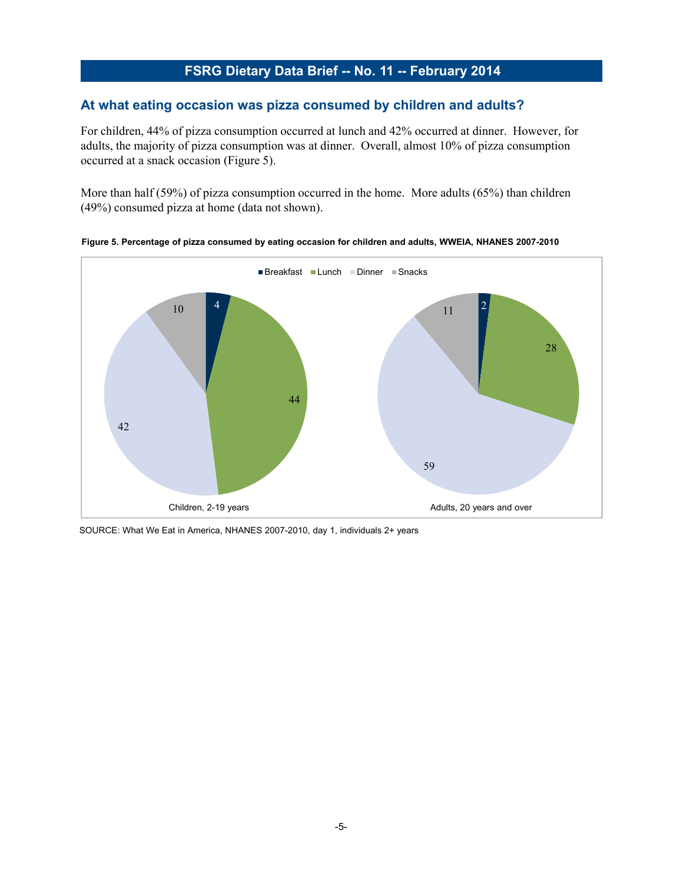### **At what eating occasion was pizza consumed by children and adults?**

For children, 44% of pizza consumption occurred at lunch and 42% occurred at dinner. However, for adults, the majority of pizza consumption was at dinner. Overall, almost 10% of pizza consumption occurred at a snack occasion (Figure 5).

More than half (59%) of pizza consumption occurred in the home. More adults (65%) than children (49%) consumed pizza at home (data not shown).



Figure 5. Percentage of pizza consumed by eating occasion for children and adults, WWEIA, NHANES 2007-2010

SOURCE: What We Eat in America, NHANES 2007-2010, day 1, individuals 2+ years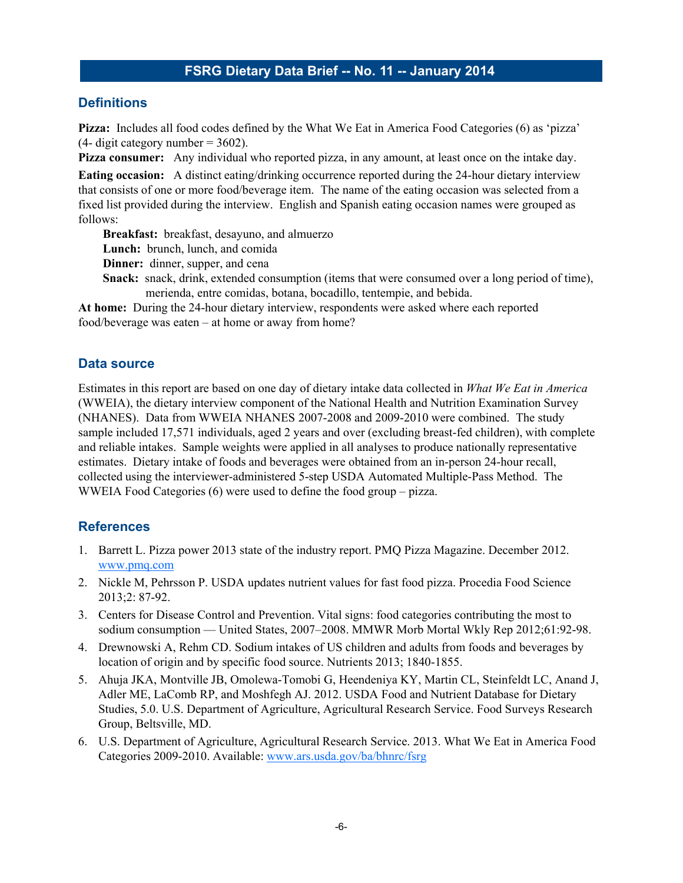#### **Definitions**

**Pizza:** Includes all food codes defined by the What We Eat in America Food Categories (6) as 'pizza'  $(4-$  digit category number = 3602).

**Pizza consumer:** Any individual who reported pizza, in any amount, at least once on the intake day.

**Eating occasion:** A distinct eating/drinking occurrence reported during the 24-hour dietary interview that consists of one or more food/beverage item. The name of the eating occasion was selected from a fixed list provided during the interview. English and Spanish eating occasion names were grouped as follows:

**Breakfast:** breakfast, desayuno, and almuerzo

**Lunch:** brunch, lunch, and comida

**Dinner:** dinner, supper, and cena

**Snack:** snack, drink, extended consumption (items that were consumed over a long period of time), merienda, entre comidas, botana, bocadillo, tentempie, and bebida.

**At home:** During the 24-hour dietary interview, respondents were asked where each reported food/beverage was eaten – at home or away from home?

#### **Data source**

Estimates in this report are based on one day of dietary intake data collected in *What We Eat in America*  (WWEIA), the dietary interview component of the National Health and Nutrition Examination Survey (NHANES). Data from WWEIA NHANES 2007-2008 and 2009-2010 were combined. The study sample included 17,571 individuals, aged 2 years and over (excluding breast-fed children), with complete and reliable intakes. Sample weights were applied in all analyses to produce nationally representative estimates. Dietary intake of foods and beverages were obtained from an in-person 24-hour recall, collected using the interviewer-administered 5-step USDA Automated Multiple-Pass Method. The WWEIA Food Categories (6) were used to define the food group – pizza.

#### **References**

- 1. Barrett L. Pizza power 2013 state of the industry report. PMQ Pizza Magazine. December 2012. www.pmq.com
- 2. Nickle M, Pehrsson P. USDA updates nutrient values for fast food pizza. Procedia Food Science 2013;2: 87-92.
- 3. Centers for Disease Control and Prevention. Vital signs: food categories contributing the most to sodium consumption — United States, 2007–2008. MMWR Morb Mortal Wkly Rep 2012;61:92-98.
- 4. Drewnowski A, Rehm CD. Sodium intakes of US children and adults from foods and beverages by location of origin and by specific food source. Nutrients 2013; 1840-1855.
- 5. Ahuja JKA, Montville JB, Omolewa-Tomobi G, Heendeniya KY, Martin CL, Steinfeldt LC, Anand J, Adler ME, LaComb RP, and Moshfegh AJ. 2012. USDA Food and Nutrient Database for Dietary Studies, 5.0. U.S. Department of Agriculture, Agricultural Research Service. Food Surveys Research Group, Beltsville, MD.
- 6. U.S. Department of Agriculture, Agricultural Research Service. 2013. What We Eat in America Food Categories 2009-2010. Available: www.ars.usda.gov/ba/bhnrc/fsrg